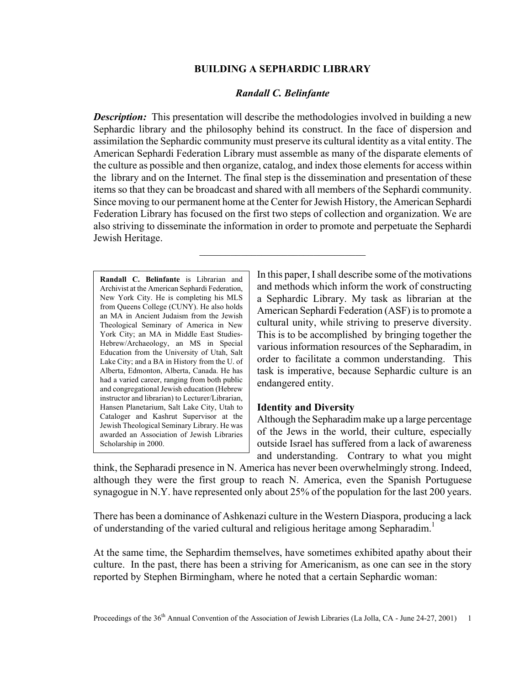# **BUILDING A SEPHARDIC LIBRARY**

# *Randall C. Belinfante*

*Description:* This presentation will describe the methodologies involved in building a new Sephardic library and the philosophy behind its construct. In the face of dispersion and assimilation the Sephardic community must preserve its cultural identity as a vital entity. The American Sephardi Federation Library must assemble as many of the disparate elements of the culture as possible and then organize, catalog, and index those elements for access within the library and on the Internet. The final step is the dissemination and presentation of these items so that they can be broadcast and shared with all members of the Sephardi community. Since moving to our permanent home at the Center for Jewish History, the American Sephardi Federation Library has focused on the first two steps of collection and organization. We are also striving to disseminate the information in order to promote and perpetuate the Sephardi Jewish Heritage.

 $\mathcal{L}_\text{max}$ 

**Randall C. Belinfante** is Librarian and Archivist at the American Sephardi Federation, New York City. He is completing his MLS from Queens College (CUNY). He also holds an MA in Ancient Judaism from the Jewish Theological Seminary of America in New York City; an MA in Middle East Studies-Hebrew/Archaeology, an MS in Special Education from the University of Utah, Salt Lake City; and a BA in History from the U. of Alberta, Edmonton, Alberta, Canada. He has had a varied career, ranging from both public and congregational Jewish education (Hebrew instructor and librarian) to Lecturer/Librarian, Hansen Planetarium, Salt Lake City, Utah to Cataloger and Kashrut Supervisor at the Jewish Theological Seminary Library. He was awarded an Association of Jewish Libraries Scholarship in 2000.

In this paper, I shall describe some of the motivations and methods which inform the work of constructing a Sephardic Library. My task as librarian at the American Sephardi Federation (ASF) is to promote a cultural unity, while striving to preserve diversity. This is to be accomplished by bringing together the various information resources of the Sepharadim, in order to facilitate a common understanding. This task is imperative, because Sephardic culture is an endangered entity.

#### **Identity and Diversity**

Although the Sepharadim make up a large percentage of the Jews in the world, their culture, especially outside Israel has suffered from a lack of awareness and understanding. Contrary to what you might

think, the Sepharadi presence in N. America has never been overwhelmingly strong. Indeed, although they were the first group to reach N. America, even the Spanish Portuguese synagogue in N.Y. have represented only about 25% of the population for the last 200 years.

There has been a dominance of Ashkenazi culture in the Western Diaspora, producing a lack of understanding of the varied cultural and religious heritage among Sepharadim.<sup>1</sup>

At the same time, the Sephardim themselves, have sometimes exhibited apathy about their culture. In the past, there has been a striving for Americanism, as one can see in the story reported by Stephen Birmingham, where he noted that a certain Sephardic woman: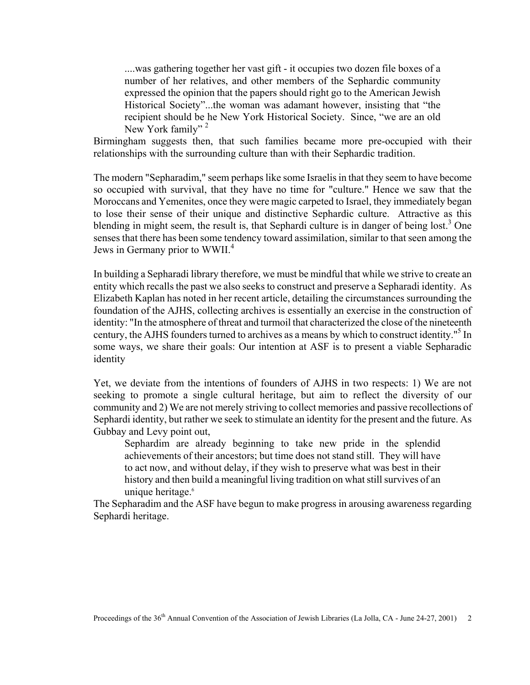....was gathering together her vast gift - it occupies two dozen file boxes of a number of her relatives, and other members of the Sephardic community expressed the opinion that the papers should right go to the American Jewish Historical Society"...the woman was adamant however, insisting that "the recipient should be he New York Historical Society. Since, "we are an old New York family"<sup>2</sup>

Birmingham suggests then, that such families became more pre-occupied with their relationships with the surrounding culture than with their Sephardic tradition.

The modern "Sepharadim," seem perhaps like some Israelis in that they seem to have become so occupied with survival, that they have no time for "culture." Hence we saw that the Moroccans and Yemenites, once they were magic carpeted to Israel, they immediately began to lose their sense of their unique and distinctive Sephardic culture. Attractive as this blending in might seem, the result is, that Sephardi culture is in danger of being lost.<sup>3</sup> One senses that there has been some tendency toward assimilation, similar to that seen among the Jews in Germany prior to WWII.<sup>4</sup>

In building a Sepharadi library therefore, we must be mindful that while we strive to create an entity which recalls the past we also seeks to construct and preserve a Sepharadi identity. As Elizabeth Kaplan has noted in her recent article, detailing the circumstances surrounding the foundation of the AJHS, collecting archives is essentially an exercise in the construction of identity: "In the atmosphere of threat and turmoil that characterized the close of the nineteenth century, the AJHS founders turned to archives as a means by which to construct identity."<sup>5</sup> In some ways, we share their goals: Our intention at ASF is to present a viable Sepharadic identity

Yet, we deviate from the intentions of founders of AJHS in two respects: 1) We are not seeking to promote a single cultural heritage, but aim to reflect the diversity of our community and 2) We are not merely striving to collect memories and passive recollections of Sephardi identity, but rather we seek to stimulate an identity for the present and the future. As Gubbay and Levy point out,

Sephardim are already beginning to take new pride in the splendid achievements of their ancestors; but time does not stand still. They will have to act now, and without delay, if they wish to preserve what was best in their history and then build a meaningful living tradition on what still survives of an unique heritage.<sup>6</sup>

The Sepharadim and the ASF have begun to make progress in arousing awareness regarding Sephardi heritage.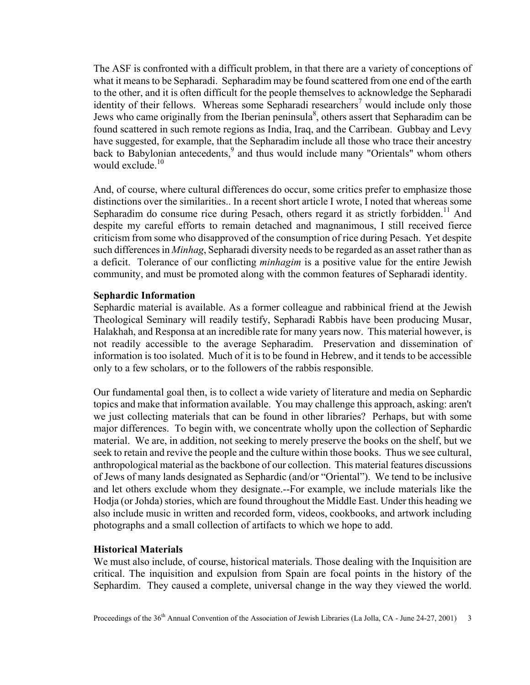The ASF is confronted with a difficult problem, in that there are a variety of conceptions of what it means to be Sepharadi. Sepharadim may be found scattered from one end of the earth to the other, and it is often difficult for the people themselves to acknowledge the Sepharadi identity of their fellows. Whereas some Sepharadi researchers<sup>7</sup> would include only those Jews who came originally from the Iberian peninsula $\delta$ , others assert that Sepharadim can be found scattered in such remote regions as India, Iraq, and the Carribean. Gubbay and Levy have suggested, for example, that the Sepharadim include all those who trace their ancestry back to Babylonian antecedents,<sup>9</sup> and thus would include many "Orientals" whom others would exclude  $10$ 

And, of course, where cultural differences do occur, some critics prefer to emphasize those distinctions over the similarities.. In a recent short article I wrote, I noted that whereas some Sepharadim do consume rice during Pesach, others regard it as strictly forbidden.<sup>11</sup> And despite my careful efforts to remain detached and magnanimous, I still received fierce criticism from some who disapproved of the consumption of rice during Pesach. Yet despite such differences in *Minhag*, Sepharadi diversity needs to be regarded as an asset rather than as a deficit. Tolerance of our conflicting *minhagim* is a positive value for the entire Jewish community, and must be promoted along with the common features of Sepharadi identity.

#### **Sephardic Information**

Sephardic material is available. As a former colleague and rabbinical friend at the Jewish Theological Seminary will readily testify, Sepharadi Rabbis have been producing Musar, Halakhah, and Responsa at an incredible rate for many years now. This material however, is not readily accessible to the average Sepharadim. Preservation and dissemination of information is too isolated. Much of it is to be found in Hebrew, and it tends to be accessible only to a few scholars, or to the followers of the rabbis responsible.

Our fundamental goal then, is to collect a wide variety of literature and media on Sephardic topics and make that information available. You may challenge this approach, asking: aren't we just collecting materials that can be found in other libraries? Perhaps, but with some major differences. To begin with, we concentrate wholly upon the collection of Sephardic material. We are, in addition, not seeking to merely preserve the books on the shelf, but we seek to retain and revive the people and the culture within those books. Thus we see cultural, anthropological material as the backbone of our collection. This material features discussions of Jews of many lands designated as Sephardic (and/or "Oriental"). We tend to be inclusive and let others exclude whom they designate.--For example, we include materials like the Hodja (or Johda) stories, which are found throughout the Middle East. Under this heading we also include music in written and recorded form, videos, cookbooks, and artwork including photographs and a small collection of artifacts to which we hope to add.

## **Historical Materials**

We must also include, of course, historical materials. Those dealing with the Inquisition are critical. The inquisition and expulsion from Spain are focal points in the history of the Sephardim. They caused a complete, universal change in the way they viewed the world.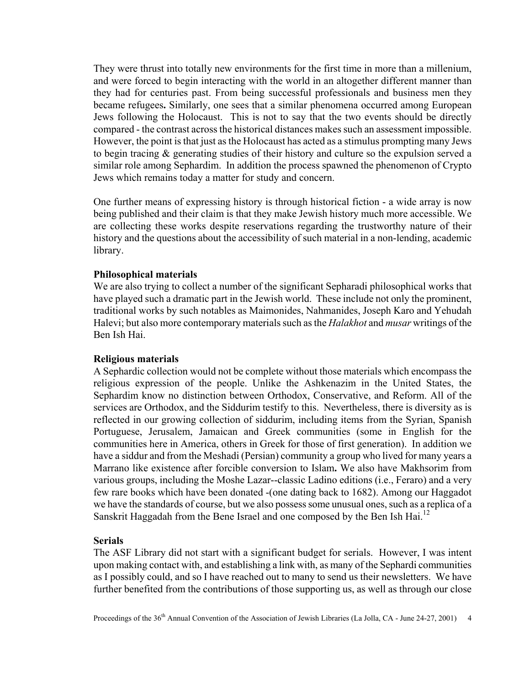They were thrust into totally new environments for the first time in more than a millenium, and were forced to begin interacting with the world in an altogether different manner than they had for centuries past. From being successful professionals and business men they became refugees**.** Similarly, one sees that a similar phenomena occurred among European Jews following the Holocaust. This is not to say that the two events should be directly compared - the contrast across the historical distances makes such an assessment impossible. However, the point is that just as the Holocaust has acted as a stimulus prompting many Jews to begin tracing & generating studies of their history and culture so the expulsion served a similar role among Sephardim. In addition the process spawned the phenomenon of Crypto Jews which remains today a matter for study and concern.

One further means of expressing history is through historical fiction - a wide array is now being published and their claim is that they make Jewish history much more accessible. We are collecting these works despite reservations regarding the trustworthy nature of their history and the questions about the accessibility of such material in a non-lending, academic library.

#### **Philosophical materials**

We are also trying to collect a number of the significant Sepharadi philosophical works that have played such a dramatic part in the Jewish world. These include not only the prominent, traditional works by such notables as Maimonides, Nahmanides, Joseph Karo and Yehudah Halevi; but also more contemporary materials such as the *Halakhot* and *musar* writings of the Ben Ish Hai.

#### **Religious materials**

A Sephardic collection would not be complete without those materials which encompass the religious expression of the people. Unlike the Ashkenazim in the United States, the Sephardim know no distinction between Orthodox, Conservative, and Reform. All of the services are Orthodox, and the Siddurim testify to this. Nevertheless, there is diversity as is reflected in our growing collection of siddurim, including items from the Syrian, Spanish Portuguese, Jerusalem, Jamaican and Greek communities (some in English for the communities here in America, others in Greek for those of first generation). In addition we have a siddur and from the Meshadi (Persian) community a group who lived for many years a Marrano like existence after forcible conversion to Islam**.** We also have Makhsorim from various groups, including the Moshe Lazar--classic Ladino editions (i.e., Feraro) and a very few rare books which have been donated -(one dating back to 1682). Among our Haggadot we have the standards of course, but we also possess some unusual ones, such as a replica of a Sanskrit Haggadah from the Bene Israel and one composed by the Ben Ish Hai.<sup>12</sup>

# **Serials**

The ASF Library did not start with a significant budget for serials. However, I was intent upon making contact with, and establishing a link with, as many of the Sephardi communities as I possibly could, and so I have reached out to many to send us their newsletters. We have further benefited from the contributions of those supporting us, as well as through our close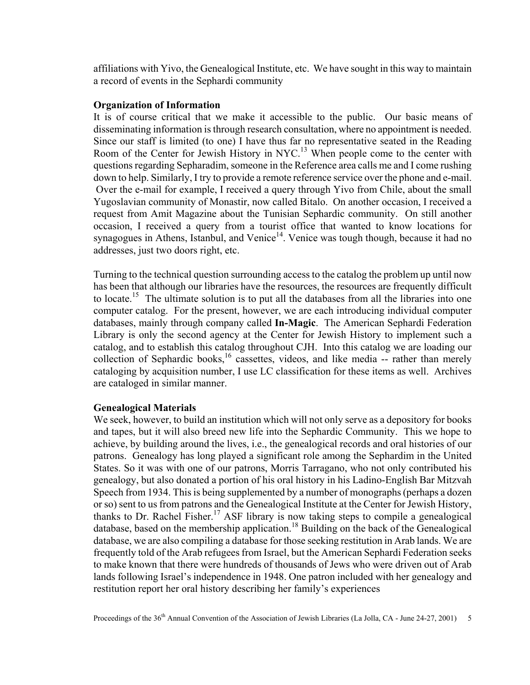affiliations with Yivo, the Genealogical Institute, etc. We have sought in this way to maintain a record of events in the Sephardi community

### **Organization of Information**

It is of course critical that we make it accessible to the public. Our basic means of disseminating information is through research consultation, where no appointment is needed. Since our staff is limited (to one) I have thus far no representative seated in the Reading Room of the Center for Jewish History in NYC.<sup>13</sup> When people come to the center with questions regarding Sepharadim, someone in the Reference area calls me and I come rushing down to help. Similarly, I try to provide a remote reference service over the phone and e-mail. Over the e-mail for example, I received a query through Yivo from Chile, about the small Yugoslavian community of Monastir, now called Bitalo. On another occasion, I received a request from Amit Magazine about the Tunisian Sephardic community. On still another occasion, I received a query from a tourist office that wanted to know locations for synagogues in Athens, Istanbul, and Venice<sup>14</sup>. Venice was tough though, because it had no addresses, just two doors right, etc.

Turning to the technical question surrounding access to the catalog the problem up until now has been that although our libraries have the resources, the resources are frequently difficult to locate.<sup>15</sup> The ultimate solution is to put all the databases from all the libraries into one computer catalog. For the present, however, we are each introducing individual computer databases, mainly through company called **In-Magic**. The American Sephardi Federation Library is only the second agency at the Center for Jewish History to implement such a catalog, and to establish this catalog throughout CJH. Into this catalog we are loading our collection of Sephardic books,<sup>16</sup> cassettes, videos, and like media -- rather than merely cataloging by acquisition number, I use LC classification for these items as well. Archives are cataloged in similar manner.

# **Genealogical Materials**

We seek, however, to build an institution which will not only serve as a depository for books and tapes, but it will also breed new life into the Sephardic Community. This we hope to achieve, by building around the lives, i.e., the genealogical records and oral histories of our patrons. Genealogy has long played a significant role among the Sephardim in the United States. So it was with one of our patrons, Morris Tarragano, who not only contributed his genealogy, but also donated a portion of his oral history in his Ladino-English Bar Mitzvah Speech from 1934. This is being supplemented by a number of monographs (perhaps a dozen or so) sent to us from patrons and the Genealogical Institute at the Center for Jewish History, thanks to Dr. Rachel Fisher.<sup>17</sup> ASF library is now taking steps to compile a genealogical database, based on the membership application.<sup>18</sup> Building on the back of the Genealogical database, we are also compiling a database for those seeking restitution in Arab lands. We are frequently told of the Arab refugees from Israel, but the American Sephardi Federation seeks to make known that there were hundreds of thousands of Jews who were driven out of Arab lands following Israel's independence in 1948. One patron included with her genealogy and restitution report her oral history describing her family's experiences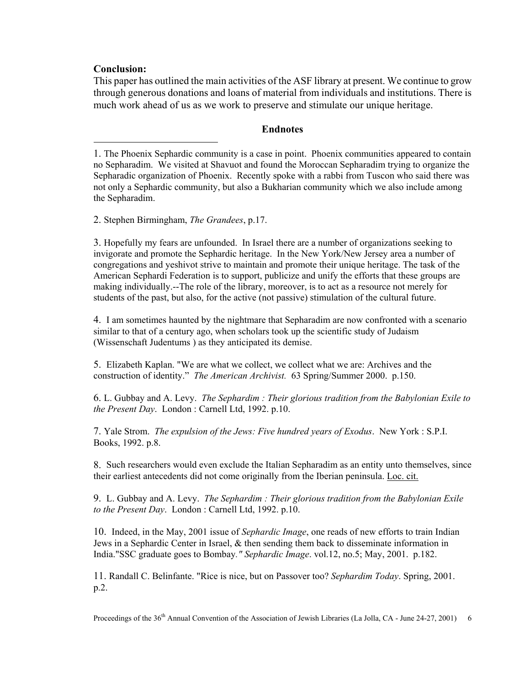# **Conclusion:**

 $\overline{a}$ 

This paper has outlined the main activities of the ASF library at present. We continue to grow through generous donations and loans of material from individuals and institutions. There is much work ahead of us as we work to preserve and stimulate our unique heritage.

# **Endnotes**

1. The Phoenix Sephardic community is a case in point. Phoenix communities appeared to contain no Sepharadim. We visited at Shavuot and found the Moroccan Sepharadim trying to organize the Sepharadic organization of Phoenix. Recently spoke with a rabbi from Tuscon who said there was not only a Sephardic community, but also a Bukharian community which we also include among the Sepharadim.

2. Stephen Birmingham, *The Grandees*, p.17.

3. Hopefully my fears are unfounded. In Israel there are a number of organizations seeking to invigorate and promote the Sephardic heritage. In the New York/New Jersey area a number of congregations and yeshivot strive to maintain and promote their unique heritage. The task of the American Sephardi Federation is to support, publicize and unify the efforts that these groups are making individually.--The role of the library, moreover, is to act as a resource not merely for students of the past, but also, for the active (not passive) stimulation of the cultural future.

4. I am sometimes haunted by the nightmare that Sepharadim are now confronted with a scenario similar to that of a century ago, when scholars took up the scientific study of Judaism (Wissenschaft Judentums ) as they anticipated its demise.

5. Elizabeth Kaplan. "We are what we collect, we collect what we are: Archives and the construction of identity." *The American Archivist.* 63 Spring/Summer 2000. p.150.

6. L. Gubbay and A. Levy. *The Sephardim : Their glorious tradition from the Babylonian Exile to the Present Day*. London : Carnell Ltd, 1992. p.10.

7. Yale Strom. *The expulsion of the Jews: Five hundred years of Exodus*. New York : S.P.I. Books, 1992. p.8.

8. Such researchers would even exclude the Italian Sepharadim as an entity unto themselves, since their earliest antecedents did not come originally from the Iberian peninsula. Loc. cit.

9. L. Gubbay and A. Levy. *The Sephardim : Their glorious tradition from the Babylonian Exile to the Present Day*. London : Carnell Ltd, 1992. p.10.

10. Indeed, in the May, 2001 issue of *Sephardic Image*, one reads of new efforts to train Indian Jews in a Sephardic Center in Israel, & then sending them back to disseminate information in India."SSC graduate goes to Bombay*." Sephardic Image*. vol.12, no.5; May, 2001. p.182.

11. Randall C. Belinfante. "Rice is nice, but on Passover too? *Sephardim Today*. Spring, 2001. p.2.

Proceedings of the 36<sup>th</sup> Annual Convention of the Association of Jewish Libraries (La Jolla, CA - June 24-27, 2001) 6